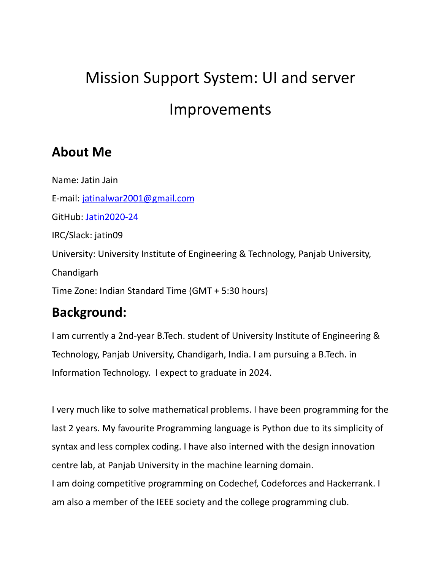# Mission Support System: UI and server Improvements

### **About Me**

Name: Jatin Jain E-mail: [jatinalwar2001@gmail.com](mailto:jatinalwar2001@gmail.com) GitHub: [Jatin2020-24](https://github.com/Jatin2020-24) IRC/Slack: jatin09 University: University Institute of Engineering & Technology, Panjab University, Chandigarh Time Zone: Indian Standard Time (GMT + 5:30 hours)

### **Background:**

I am currently a 2nd-year B.Tech. student of University Institute of Engineering & Technology, Panjab University, Chandigarh, India. I am pursuing a B.Tech. in Information Technology. I expect to graduate in 2024.

I very much like to solve mathematical problems. I have been programming for the last 2 years. My favourite Programming language is Python due to its simplicity of syntax and less complex coding. I have also interned with the design innovation centre lab, at Panjab University in the machine learning domain. I am doing competitive programming on Codechef, Codeforces and Hackerrank. I am also a member of the IEEE society and the college programming club.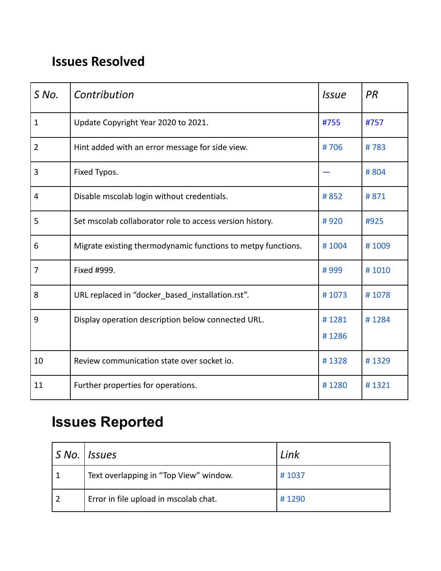### **Issues Resolved**

| S No.          | Contribution                                                 | <i>Issue</i> | PR    |
|----------------|--------------------------------------------------------------|--------------|-------|
| $\mathbf{1}$   | Update Copyright Year 2020 to 2021.                          | #755         | #757  |
| $\overline{2}$ | Hint added with an error message for side view.              | #706         | #783  |
| 3              | Fixed Typos.                                                 |              | #804  |
| 4              | Disable mscolab login without credentials.                   | #852         | #871  |
| 5              | Set mscolab collaborator role to access version history.     | #920         | #925  |
| 6              | Migrate existing thermodynamic functions to metpy functions. | #1004        | #1009 |
| $\overline{7}$ | Fixed #999.                                                  | #999         | #1010 |
| 8              | URL replaced in "docker based installation.rst".             | #1073        | #1078 |
| 9              | Display operation description below connected URL.           | #1281        | #1284 |
|                |                                                              | #1286        |       |
| 10             | Review communication state over socket io.                   | #1328        | #1329 |
| 11             | Further properties for operations.                           | #1280        | #1321 |

# **Issues Reported**

| S No.   Issues                         | Link  |
|----------------------------------------|-------|
| Text overlapping in "Top View" window. | #1037 |
| Error in file upload in mscolab chat.  | #1290 |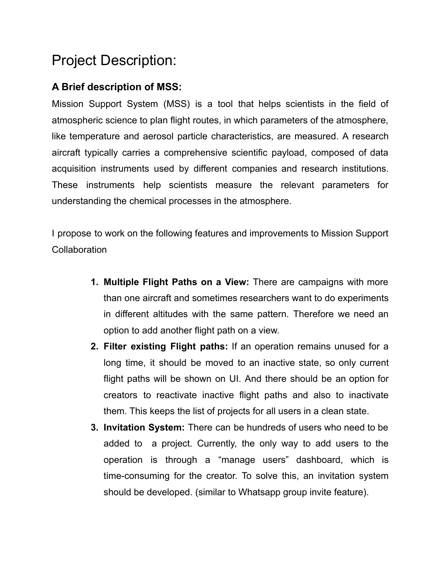# Project Description:

#### **A Brief description of MSS:**

Mission Support System (MSS) is a tool that helps scientists in the field of atmospheric science to plan flight routes, in which parameters of the atmosphere, like temperature and aerosol particle characteristics, are measured. A research aircraft typically carries a comprehensive scientific payload, composed of data acquisition instruments used by different companies and research institutions. These instruments help scientists measure the relevant parameters for understanding the chemical processes in the atmosphere.

I propose to work on the following features and improvements to Mission Support **Collaboration** 

- **1. Multiple Flight Paths on a View:** There are campaigns with more than one aircraft and sometimes researchers want to do experiments in different altitudes with the same pattern. Therefore we need an option to add another flight path on a view.
- **2. Filter existing Flight paths:** If an operation remains unused for a long time, it should be moved to an inactive state, so only current flight paths will be shown on UI. And there should be an option for creators to reactivate inactive flight paths and also to inactivate them. This keeps the list of projects for all users in a clean state.
- **3. Invitation System:** There can be hundreds of users who need to be added to a project. Currently, the only way to add users to the operation is through a "manage users" dashboard, which is time-consuming for the creator. To solve this, an invitation system should be developed. (similar to Whatsapp group invite feature).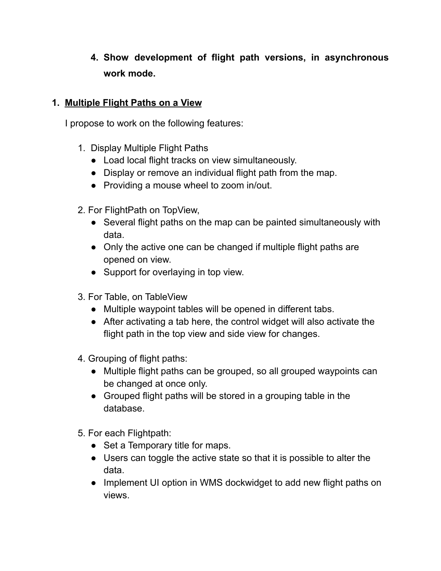**4. Show development of flight path versions, in asynchronous work mode.**

#### **1. Multiple Flight Paths on a View**

I propose to work on the following features:

- 1. Display Multiple Flight Paths
	- Load local flight tracks on view simultaneously.
	- Display or remove an individual flight path from the map.
	- Providing a mouse wheel to zoom in/out.
- 2. For FlightPath on TopView,
	- Several flight paths on the map can be painted simultaneously with data.
	- Only the active one can be changed if multiple flight paths are opened on view.
	- Support for overlaying in top view.
- 3. For Table, on TableView
	- Multiple waypoint tables will be opened in different tabs.
	- After activating a tab here, the control widget will also activate the flight path in the top view and side view for changes.
- 4. Grouping of flight paths:
	- Multiple flight paths can be grouped, so all grouped waypoints can be changed at once only.
	- Grouped flight paths will be stored in a grouping table in the database.
- 5. For each Flightpath:
	- Set a Temporary title for maps.
	- Users can toggle the active state so that it is possible to alter the data.
	- Implement UI option in WMS dockwidget to add new flight paths on views.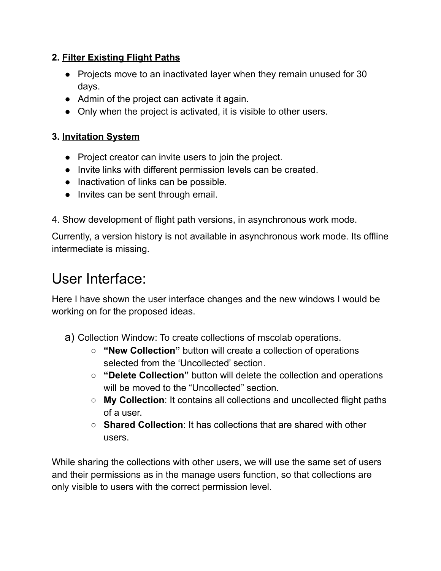#### **2. Filter Existing Flight Paths**

- Projects move to an inactivated layer when they remain unused for 30 days.
- Admin of the project can activate it again.
- Only when the project is activated, it is visible to other users.

#### **3. Invitation System**

- Project creator can invite users to join the project.
- Invite links with different permission levels can be created.
- Inactivation of links can be possible.
- Invites can be sent through email.
- 4. Show development of flight path versions, in asynchronous work mode.

Currently, a version history is not available in asynchronous work mode. Its offline intermediate is missing.

### User Interface:

Here I have shown the user interface changes and the new windows I would be working on for the proposed ideas.

- a) Collection Window: To create collections of mscolab operations.
	- **"New Collection"** button will create a collection of operations selected from the 'Uncollected' section.
	- **"Delete Collection"** button will delete the collection and operations will be moved to the "Uncollected" section.
	- **My Collection**: It contains all collections and uncollected flight paths of a user.
	- **Shared Collection**: It has collections that are shared with other users.

While sharing the collections with other users, we will use the same set of users and their permissions as in the manage users function, so that collections are only visible to users with the correct permission level.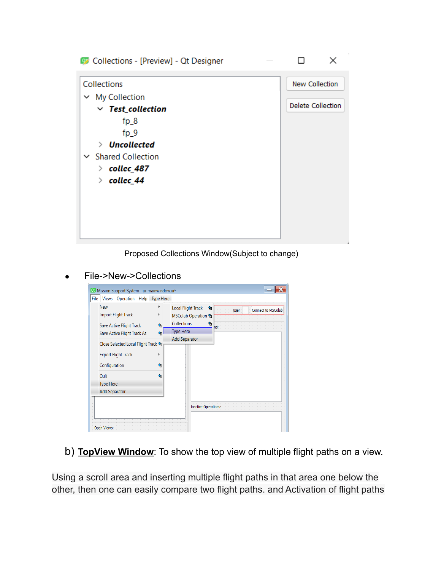

Proposed Collections Window(Subject to change)

#### File->New->Collections



b) **TopView Window**: To show the top view of multiple flight paths on a view.

Using a scroll area and inserting multiple flight paths in that area one below the other, then one can easily compare two flight paths. and Activation of flight paths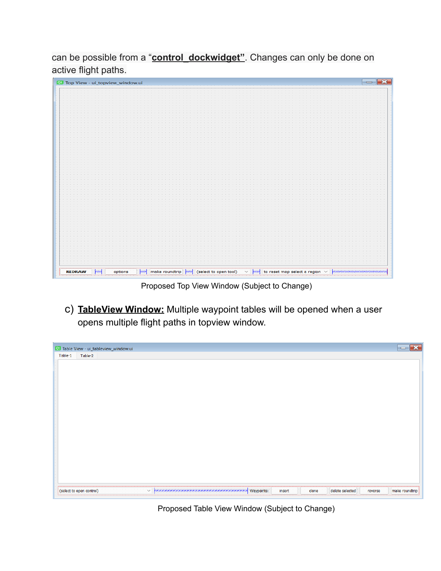can be possible from a "**control\_dockwidget"**. Changes can only be done on active flight paths.

|                                                                     |                           | QU Top View - ui_topview_window.ui |                                                     |  |  |  |  | $ \mathbf{x}$ |  |
|---------------------------------------------------------------------|---------------------------|------------------------------------|-----------------------------------------------------|--|--|--|--|---------------|--|
|                                                                     |                           |                                    |                                                     |  |  |  |  |               |  |
| the contract of the contract of the                                 |                           |                                    |                                                     |  |  |  |  |               |  |
| and the company's                                                   |                           |                                    |                                                     |  |  |  |  |               |  |
| $\alpha$ . $\alpha$                                                 |                           |                                    |                                                     |  |  |  |  |               |  |
| $\alpha$ , $\alpha$ , $\alpha$<br>$\sim$                            |                           |                                    |                                                     |  |  |  |  |               |  |
|                                                                     |                           |                                    |                                                     |  |  |  |  |               |  |
|                                                                     |                           |                                    |                                                     |  |  |  |  |               |  |
|                                                                     |                           |                                    |                                                     |  |  |  |  |               |  |
|                                                                     |                           |                                    |                                                     |  |  |  |  |               |  |
|                                                                     |                           |                                    |                                                     |  |  |  |  |               |  |
|                                                                     |                           |                                    |                                                     |  |  |  |  |               |  |
|                                                                     |                           |                                    |                                                     |  |  |  |  |               |  |
|                                                                     |                           |                                    |                                                     |  |  |  |  |               |  |
|                                                                     |                           |                                    |                                                     |  |  |  |  |               |  |
| $\sim$                                                              |                           |                                    |                                                     |  |  |  |  |               |  |
|                                                                     |                           |                                    |                                                     |  |  |  |  |               |  |
|                                                                     |                           |                                    |                                                     |  |  |  |  |               |  |
|                                                                     |                           |                                    |                                                     |  |  |  |  |               |  |
|                                                                     |                           |                                    |                                                     |  |  |  |  |               |  |
|                                                                     |                           |                                    |                                                     |  |  |  |  |               |  |
|                                                                     |                           |                                    |                                                     |  |  |  |  |               |  |
|                                                                     |                           |                                    |                                                     |  |  |  |  |               |  |
|                                                                     |                           |                                    |                                                     |  |  |  |  |               |  |
|                                                                     |                           |                                    |                                                     |  |  |  |  |               |  |
|                                                                     |                           |                                    |                                                     |  |  |  |  |               |  |
| $\sim$                                                              |                           |                                    |                                                     |  |  |  |  |               |  |
|                                                                     |                           |                                    |                                                     |  |  |  |  |               |  |
|                                                                     |                           |                                    |                                                     |  |  |  |  |               |  |
|                                                                     |                           |                                    |                                                     |  |  |  |  |               |  |
|                                                                     |                           |                                    |                                                     |  |  |  |  |               |  |
|                                                                     |                           |                                    |                                                     |  |  |  |  |               |  |
|                                                                     |                           |                                    |                                                     |  |  |  |  |               |  |
|                                                                     |                           |                                    |                                                     |  |  |  |  |               |  |
|                                                                     |                           |                                    |                                                     |  |  |  |  |               |  |
|                                                                     |                           |                                    |                                                     |  |  |  |  |               |  |
| $\sim$                                                              |                           |                                    |                                                     |  |  |  |  |               |  |
|                                                                     |                           |                                    |                                                     |  |  |  |  |               |  |
|                                                                     |                           |                                    |                                                     |  |  |  |  |               |  |
|                                                                     |                           |                                    |                                                     |  |  |  |  |               |  |
|                                                                     |                           |                                    |                                                     |  |  |  |  |               |  |
|                                                                     |                           |                                    |                                                     |  |  |  |  |               |  |
|                                                                     |                           |                                    |                                                     |  |  |  |  |               |  |
|                                                                     |                           |                                    |                                                     |  |  |  |  |               |  |
|                                                                     |                           |                                    |                                                     |  |  |  |  |               |  |
|                                                                     |                           |                                    |                                                     |  |  |  |  |               |  |
|                                                                     |                           |                                    |                                                     |  |  |  |  |               |  |
| $\sim$ $ \sim$                                                      |                           |                                    |                                                     |  |  |  |  |               |  |
|                                                                     |                           |                                    |                                                     |  |  |  |  |               |  |
|                                                                     |                           |                                    |                                                     |  |  |  |  |               |  |
|                                                                     |                           |                                    |                                                     |  |  |  |  |               |  |
|                                                                     |                           |                                    |                                                     |  |  |  |  |               |  |
|                                                                     |                           |                                    |                                                     |  |  |  |  |               |  |
|                                                                     |                           |                                    |                                                     |  |  |  |  |               |  |
|                                                                     |                           |                                    |                                                     |  |  |  |  |               |  |
|                                                                     |                           |                                    |                                                     |  |  |  |  |               |  |
|                                                                     |                           |                                    |                                                     |  |  |  |  |               |  |
|                                                                     |                           |                                    |                                                     |  |  |  |  |               |  |
|                                                                     |                           |                                    |                                                     |  |  |  |  |               |  |
|                                                                     |                           |                                    |                                                     |  |  |  |  |               |  |
|                                                                     |                           |                                    |                                                     |  |  |  |  |               |  |
|                                                                     |                           |                                    |                                                     |  |  |  |  |               |  |
|                                                                     |                           |                                    |                                                     |  |  |  |  |               |  |
|                                                                     |                           |                                    |                                                     |  |  |  |  |               |  |
|                                                                     |                           |                                    |                                                     |  |  |  |  |               |  |
| $\mathcal{A}^{\mathcal{A}}$ , and $\mathcal{A}^{\mathcal{A}}$ , and |                           |                                    |                                                     |  |  |  |  |               |  |
|                                                                     |                           |                                    |                                                     |  |  |  |  |               |  |
|                                                                     |                           |                                    |                                                     |  |  |  |  |               |  |
| <b>REDRAW</b>                                                       | <b><i><u>pand</u></i></b> | options                            | min   make roundtrip    min   (select to open tool) |  |  |  |  |               |  |
|                                                                     |                           |                                    |                                                     |  |  |  |  |               |  |

Proposed Top View Window (Subject to Change)

c) **TableView Window:** Multiple waypoint tables will be opened when a user opens multiple flight paths in topview window.



Proposed Table View Window (Subject to Change)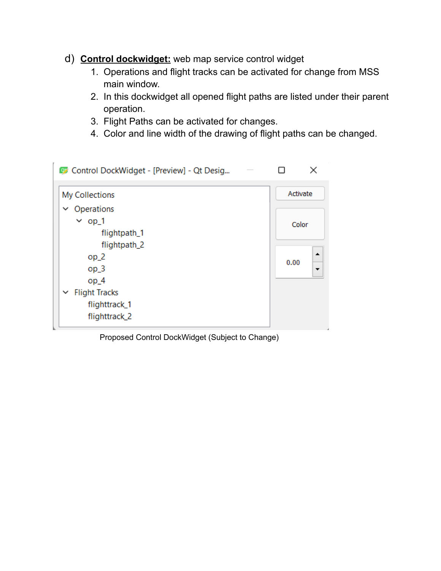- d) **Control dockwidget:** web map service control widget
	- 1. Operations and flight tracks can be activated for change from MSS main window.
	- 2. In this dockwidget all opened flight paths are listed under their parent operation.
	- 3. Flight Paths can be activated for changes.
	- 4. Color and line width of the drawing of flight paths can be changed.

| Control DockWidget - [Preview] - Qt Desig                                                                                                                                                                            |      | ×                           |
|----------------------------------------------------------------------------------------------------------------------------------------------------------------------------------------------------------------------|------|-----------------------------|
| <b>My Collections</b><br>Operations<br>$\check{ }$<br>$op_1$<br>$\checkmark$<br>flightpath_1<br>flightpath_2<br>$op_2$<br>$op_3$<br>$op_4$<br><b>Flight Tracks</b><br>$\checkmark$<br>flighttrack_1<br>flighttrack_2 | 0.00 | Activate<br>Color<br>ᆂ<br>▼ |

Proposed Control DockWidget (Subject to Change)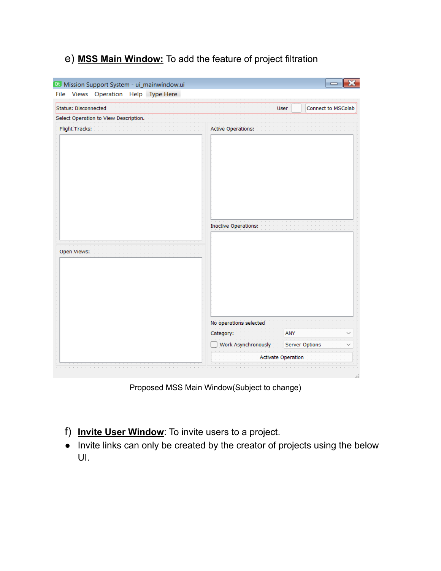#### e) **MSS Main Window:** To add the feature of project filtration



Proposed MSS Main Window(Subject to change)

- f) **Invite User Window**: To invite users to a project.
- Invite links can only be created by the creator of projects using the below UI.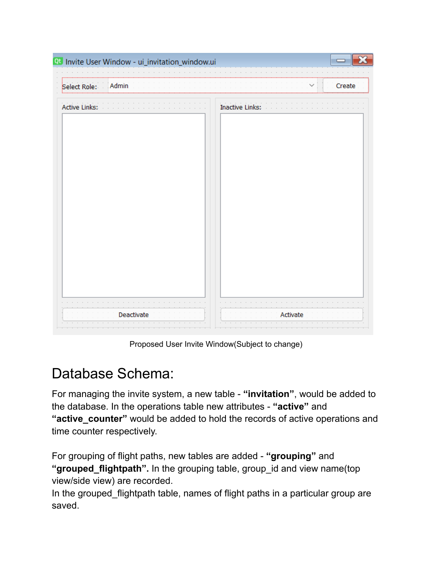

Proposed User Invite Window(Subject to change)

# Database Schema:

For managing the invite system, a new table - **"invitation"**, would be added to the database. In the operations table new attributes - **"active"** and **"active\_counter"** would be added to hold the records of active operations and time counter respectively.

For grouping of flight paths, new tables are added - **"grouping"** and **"grouped flightpath".** In the grouping table, group id and view name(top view/side view) are recorded.

In the grouped flightpath table, names of flight paths in a particular group are saved.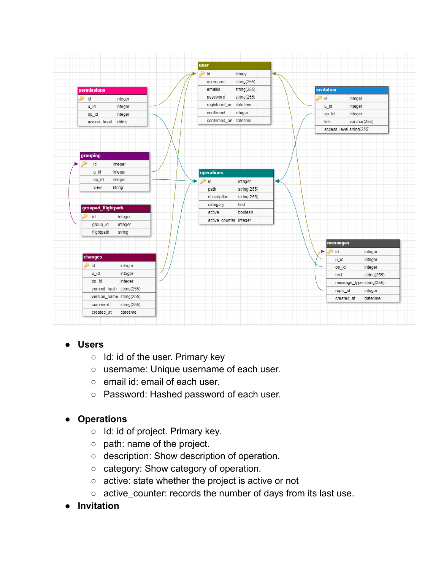

#### **● Users**

- o Id: id of the user. Primary key
- username: Unique username of each user.
- email id: email of each user.
- Password: Hashed password of each user.

#### **● Operations**

- Id: id of project. Primary key.
- path: name of the project.
- description: Show description of operation.
- category: Show category of operation.
- active: state whether the project is active or not
- active\_counter: records the number of days from its last use.
- **● Invitation**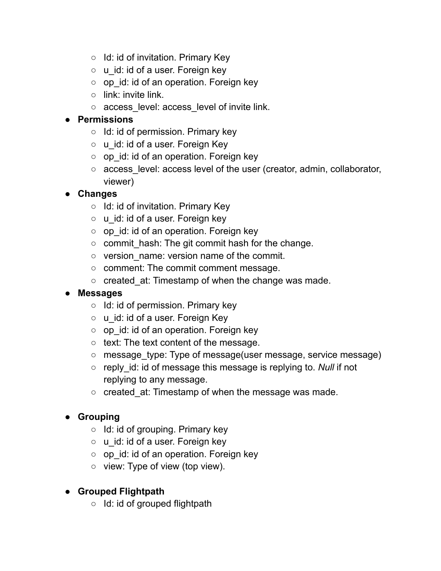- $\circ$  Id: id of invitation. Primary Key
- $\circ$  u id: id of a user. Foreign key
- $\circ$  op id: id of an operation. Foreign key
- $\circ$  link: invite link.
- access\_level: access\_level of invite link.

#### **● Permissions**

- $\circ$  Id: id of permission. Primary key
- **u\_id: id of a user. Foreign Key**
- op\_id: id of an operation. Foreign key
- access\_level: access level of the user (creator, admin, collaborator, viewer)

#### **● Changes**

- Id: id of invitation. Primary Key
- $\circ$  u id: id of a user. Foreign key
- $\circ$  op id: id of an operation. Foreign key
- commit hash: The git commit hash for the change.
- version\_name: version name of the commit.
- comment: The commit comment message.
- created\_at: Timestamp of when the change was made.

#### **● Messages**

- $\circ$  Id: id of permission. Primary key
- $\circ$  u id: id of a user. Foreign Key
- $\circ$  op id: id of an operation. Foreign key
- $\circ$  text: The text content of the message.
- message\_type: Type of message(user message, service message)
- reply\_id: id of message this message is replying to. *Null* if not replying to any message.
- $\circ$  created at: Timestamp of when the message was made.

#### **● Grouping**

- **○** Id: id of grouping. Primary key
- $\circ$  u id: id of a user. Foreign key
- op\_id: id of an operation. Foreign key
- $\circ$  view: Type of view (top view).

#### **● Grouped Flightpath**

 $\circ$  Id: id of grouped flightpath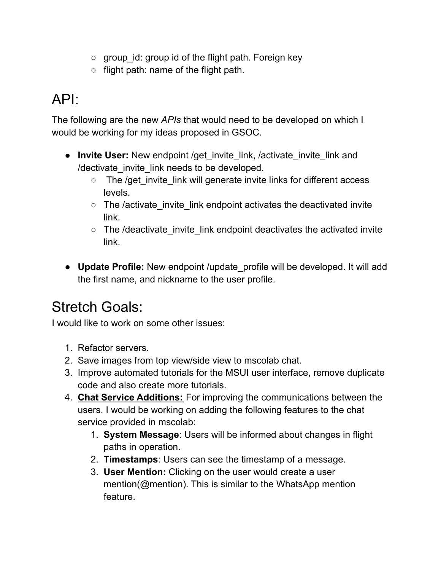- $\circ$  group id: group id of the flight path. Foreign key
- $\circ$  flight path: name of the flight path.

# API:

The following are the new *APIs* that would need to be developed on which I would be working for my ideas proposed in GSOC.

- **● Invite User:** New endpoint /get\_invite\_link, /activate\_invite\_link and /dectivate\_invite\_link needs to be developed.
	- **○** The /get\_invite\_link will generate invite links for different access levels.
	- $\circ$  The /activate invite link endpoint activates the deactivated invite link.
	- $\circ$  The /deactivate invite link endpoint deactivates the activated invite link.
- **● Update Profile:** New endpoint /update\_profile will be developed. It will add the first name, and nickname to the user profile.

# Stretch Goals:

I would like to work on some other issues:

- 1. Refactor servers.
- 2. Save images from top view/side view to mscolab chat.
- 3. Improve automated tutorials for the MSUI user interface, remove duplicate code and also create more tutorials.
- 4. **Chat Service Additions:** For improving the communications between the users. I would be working on adding the following features to the chat service provided in mscolab:
	- 1. **System Message**: Users will be informed about changes in flight paths in operation.
	- 2. **Timestamps**: Users can see the timestamp of a message.
	- 3. **User Mention:** Clicking on the user would create a user mention(@mention). This is similar to the WhatsApp mention feature.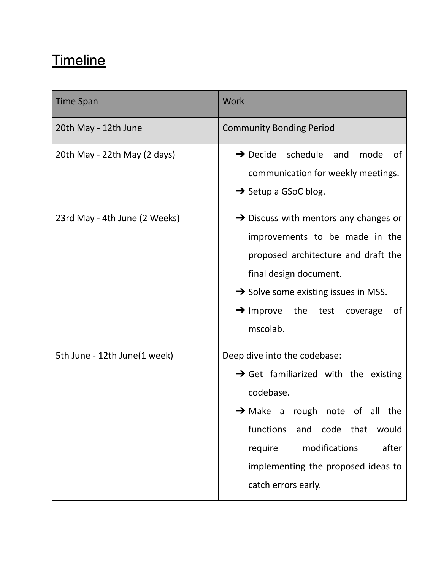# **Timeline**

| <b>Time Span</b>              | <b>Work</b>                                                                                                                                                                                                                                                                          |
|-------------------------------|--------------------------------------------------------------------------------------------------------------------------------------------------------------------------------------------------------------------------------------------------------------------------------------|
| 20th May - 12th June          | <b>Community Bonding Period</b>                                                                                                                                                                                                                                                      |
| 20th May - 22th May (2 days)  | $\rightarrow$ Decide schedule and<br>mode<br>0f<br>communication for weekly meetings.<br>$\rightarrow$ Setup a GSoC blog.                                                                                                                                                            |
| 23rd May - 4th June (2 Weeks) | $\rightarrow$ Discuss with mentors any changes or<br>improvements to be made in the<br>proposed architecture and draft the<br>final design document.<br>$\rightarrow$ Solve some existing issues in MSS.<br>$\rightarrow$ Improve the test coverage<br>of<br>mscolab.                |
| 5th June - 12th June(1 week)  | Deep dive into the codebase:<br>$\rightarrow$ Get familiarized with the existing<br>codebase.<br>$\rightarrow$ Make a rough note of all the<br>functions<br>and code that<br>would<br>modifications<br>after<br>require<br>implementing the proposed ideas to<br>catch errors early. |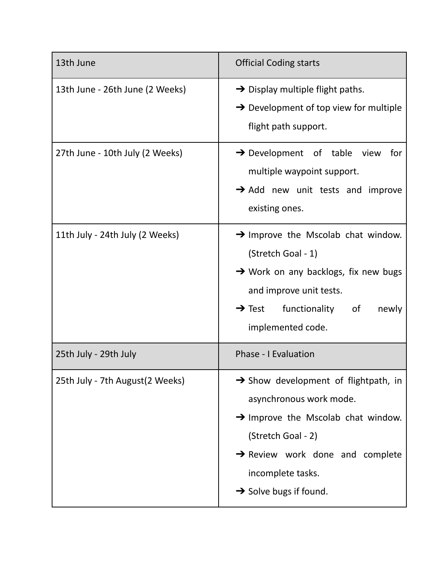| 13th June                       | <b>Official Coding starts</b>                                                                                                                                                                                                                                 |
|---------------------------------|---------------------------------------------------------------------------------------------------------------------------------------------------------------------------------------------------------------------------------------------------------------|
| 13th June - 26th June (2 Weeks) | $\rightarrow$ Display multiple flight paths.<br>$\rightarrow$ Development of top view for multiple<br>flight path support.                                                                                                                                    |
| 27th June - 10th July (2 Weeks) | $\rightarrow$ Development of table view for<br>multiple waypoint support.<br>$\rightarrow$ Add new unit tests and improve<br>existing ones.                                                                                                                   |
| 11th July - 24th July (2 Weeks) | $\rightarrow$ Improve the Mscolab chat window.<br>(Stretch Goal - 1)<br>$\rightarrow$ Work on any backlogs, fix new bugs<br>and improve unit tests.<br>functionality of<br>$\rightarrow$ Test<br>newly<br>implemented code.                                   |
| 25th July - 29th July           | Phase - I Evaluation                                                                                                                                                                                                                                          |
| 25th July - 7th August(2 Weeks) | $\rightarrow$ Show development of flightpath, in<br>asynchronous work mode.<br>$\rightarrow$ Improve the Mscolab chat window.<br>(Stretch Goal - 2)<br>$\rightarrow$ Review work done and complete<br>incomplete tasks.<br>$\rightarrow$ Solve bugs if found. |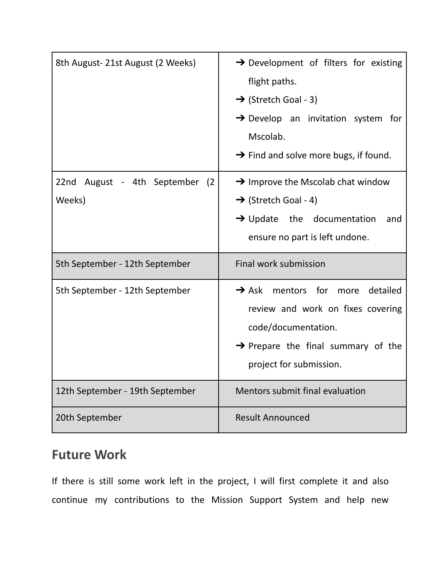| 8th August-21st August (2 Weeks)         | $\rightarrow$ Development of filters for existing<br>flight paths.<br>$\rightarrow$ (Stretch Goal - 3)<br>$\rightarrow$ Develop an invitation system<br>for<br>Mscolab.<br>$\rightarrow$ Find and solve more bugs, if found. |
|------------------------------------------|------------------------------------------------------------------------------------------------------------------------------------------------------------------------------------------------------------------------------|
| 22nd August - 4th September (2<br>Weeks) | $\rightarrow$ Improve the Mscolab chat window<br>$\rightarrow$ (Stretch Goal - 4)<br>$\rightarrow$ Update the documentation<br>and<br>ensure no part is left undone.                                                         |
| 5th September - 12th September           | Final work submission                                                                                                                                                                                                        |
| 5th September - 12th September           | $\rightarrow$ Ask mentors for<br>detailed<br>more<br>review and work on fixes covering<br>code/documentation.<br>$\rightarrow$ Prepare the final summary of the<br>project for submission.                                   |
| 12th September - 19th September          | Mentors submit final evaluation                                                                                                                                                                                              |
| 20th September                           | <b>Result Announced</b>                                                                                                                                                                                                      |

### **Future Work**

If there is still some work left in the project, I will first complete it and also continue my contributions to the Mission Support System and help new